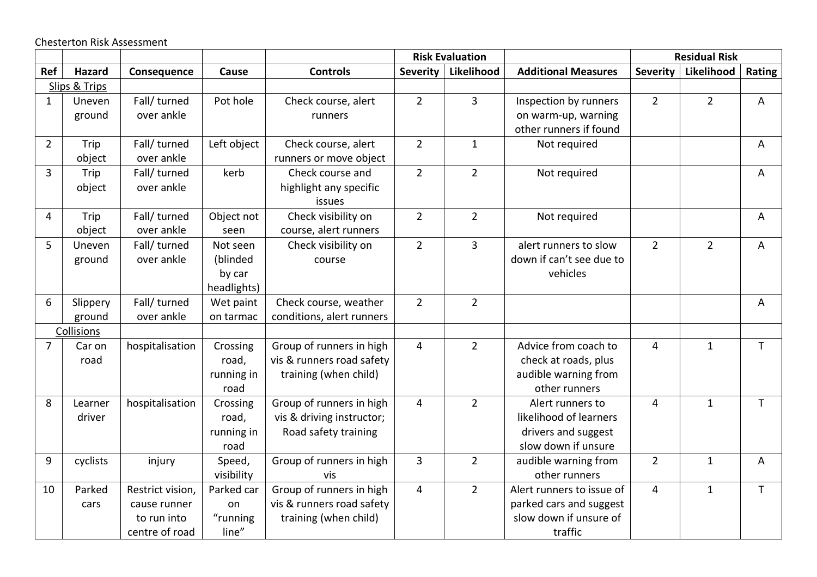Chesterton Risk Assessment

|                |               |                  |             |                           | <b>Risk Evaluation</b> |                |                            | <b>Residual Risk</b> |                |              |
|----------------|---------------|------------------|-------------|---------------------------|------------------------|----------------|----------------------------|----------------------|----------------|--------------|
| Ref            | Hazard        | Consequence      | Cause       | <b>Controls</b>           | Severity               | Likelihood     | <b>Additional Measures</b> | <b>Severity</b>      | Likelihood     | Rating       |
|                | Slips & Trips |                  |             |                           |                        |                |                            |                      |                |              |
| $\mathbf{1}$   | Uneven        | Fall/ turned     | Pot hole    | Check course, alert       | $\overline{2}$         | $\overline{3}$ | Inspection by runners      | $2^{\circ}$          | $\overline{2}$ | A            |
|                | ground        | over ankle       |             | runners                   |                        |                | on warm-up, warning        |                      |                |              |
|                |               |                  |             |                           |                        |                | other runners if found     |                      |                |              |
| $\overline{2}$ | Trip          | Fall/ turned     | Left object | Check course, alert       | $\overline{2}$         | $\mathbf{1}$   | Not required               |                      |                | A            |
|                | object        | over ankle       |             | runners or move object    |                        |                |                            |                      |                |              |
| $\overline{3}$ | Trip          | Fall/ turned     | kerb        | Check course and          | $\overline{2}$         | $\overline{2}$ | Not required               |                      |                | A            |
|                | object        | over ankle       |             | highlight any specific    |                        |                |                            |                      |                |              |
|                |               |                  |             | issues                    |                        |                |                            |                      |                |              |
| 4              | Trip          | Fall/ turned     | Object not  | Check visibility on       | $\overline{2}$         | $\overline{2}$ | Not required               |                      |                | A            |
|                | object        | over ankle       | seen        | course, alert runners     |                        |                |                            |                      |                |              |
| 5              | Uneven        | Fall/ turned     | Not seen    | Check visibility on       | $\overline{2}$         | $\overline{3}$ | alert runners to slow      | $\overline{2}$       | $\overline{2}$ | A            |
|                | ground        | over ankle       | (blinded    | course                    |                        |                | down if can't see due to   |                      |                |              |
|                |               |                  | by car      |                           |                        |                | vehicles                   |                      |                |              |
|                |               |                  | headlights) |                           |                        |                |                            |                      |                |              |
| 6              | Slippery      | Fall/ turned     | Wet paint   | Check course, weather     | $\overline{2}$         | $2^{\circ}$    |                            |                      |                | A            |
|                | ground        | over ankle       | on tarmac   | conditions, alert runners |                        |                |                            |                      |                |              |
|                | Collisions    |                  |             |                           |                        |                |                            |                      |                |              |
| $\overline{7}$ | Car on        | hospitalisation  | Crossing    | Group of runners in high  | 4                      | $\overline{2}$ | Advice from coach to       | 4                    | $\mathbf{1}$   | $\mathsf T$  |
|                | road          |                  | road,       | vis & runners road safety |                        |                | check at roads, plus       |                      |                |              |
|                |               |                  | running in  | training (when child)     |                        |                | audible warning from       |                      |                |              |
|                |               |                  | road        |                           |                        |                | other runners              |                      |                |              |
| 8              | Learner       | hospitalisation  | Crossing    | Group of runners in high  | 4                      | $\overline{2}$ | Alert runners to           | 4                    | $\mathbf{1}$   | $\mathsf{T}$ |
|                | driver        |                  | road,       | vis & driving instructor; |                        |                | likelihood of learners     |                      |                |              |
|                |               |                  | running in  | Road safety training      |                        |                | drivers and suggest        |                      |                |              |
|                |               |                  | road        |                           |                        |                | slow down if unsure        |                      |                |              |
| 9              | cyclists      | injury           | Speed,      | Group of runners in high  | $\overline{3}$         | $\overline{2}$ | audible warning from       | $\overline{2}$       | $\mathbf{1}$   | A            |
|                |               |                  | visibility  | vis                       |                        |                | other runners              |                      |                |              |
| 10             | Parked        | Restrict vision, | Parked car  | Group of runners in high  | 4                      | $\overline{2}$ | Alert runners to issue of  | 4                    | $\mathbf{1}$   | $\mathsf{T}$ |
|                | cars          | cause runner     | on          | vis & runners road safety |                        |                | parked cars and suggest    |                      |                |              |
|                |               | to run into      | "running    | training (when child)     |                        |                | slow down if unsure of     |                      |                |              |
|                |               | centre of road   | line"       |                           |                        |                | traffic                    |                      |                |              |